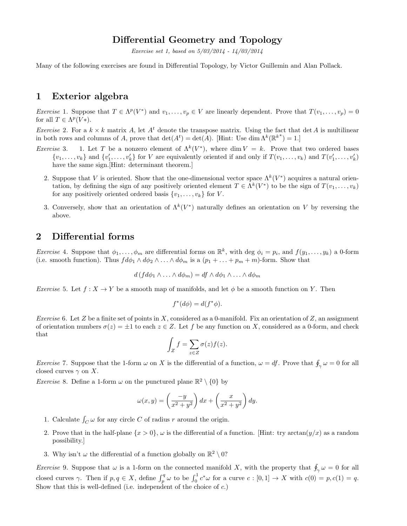### Differential Geometry and Topology

Exercise set 1, based on 5/03/2014 - 14/03/2014

Many of the following exercises are found in Differential Topology, by Victor Guillemin and Alan Pollack.

### 1 Exterior algebra

*Exercise* 1. Suppose that  $T \in \Lambda^p(V^*)$  and  $v_1, \ldots, v_p \in V$  are linearly dependent. Prove that  $T(v_1, \ldots, v_p) = 0$ for all  $T \in \Lambda^p(V^*)$ .

*Exercise* 2. For a  $k \times k$  matrix A, let  $A^t$  denote the transpose matrix. Using the fact that det A is multilinear in both rows and columns of A, prove that  $\det(A^t) = \det(A)$ . [Hint: Use  $\dim \Lambda^k(\mathbb{R}^{k^*}) = 1$ .]

- *Exercise* 3. 1. Let T be a nonzero element of  $\Lambda^k(V^*)$ , where dim  $V = k$ . Prove that two ordered bases  $\{v_1, \ldots, v_k\}$  and  $\{v'_1, \ldots, v'_k\}$  for V are equivalently oriented if and only if  $T(v_1, \ldots, v_k)$  and  $T(v'_1, \ldots, v'_k)$ have the same sign.[Hint: determinant theorem.]
	- 2. Suppose that V is oriented. Show that the one-dimensional vector space  $\Lambda^k(V^*)$  acquires a natural orientation, by defining the sign of any positively oriented element  $T \in \Lambda^k(V^*)$  to be the sign of  $T(v_1, \ldots, v_k)$ for any positively oriented ordered basis  $\{v_1, \ldots, v_k\}$  for V.
	- 3. Conversely, show that an orientation of  $\Lambda^k(V^*)$  naturally defines an orientation on V by reversing the above.

#### 2 Differential forms

*Exercise* 4. Suppose that  $\phi_1, \ldots, \phi_m$  are differential forms on  $\mathbb{R}^k$ , with deg  $\phi_i = p_i$ , and  $f(y_1, \ldots, y_k)$  a 0-form (i.e. smooth function). Thus  $fd\phi_1 \wedge d\phi_2 \wedge ... \wedge d\phi_m$  is a  $(p_1 + ... + p_m + m)$ -form. Show that

$$
d(f d\phi_1 \wedge \ldots \wedge d\phi_m) = df \wedge d\phi_1 \wedge \ldots \wedge d\phi_m
$$

*Exercise* 5. Let  $f: X \to Y$  be a smooth map of manifolds, and let  $\phi$  be a smooth function on Y. Then

$$
f^*(d\phi) = d(f^*\phi).
$$

Exercise 6. Let Z be a finite set of points in X, considered as a 0-manifold. Fix an orientation of Z, an assignment of orientation numbers  $\sigma(z) = \pm 1$  to each  $z \in Z$ . Let f be any function on X, considered as a 0-form, and check that

$$
\int_Z f = \sum_{z \in Z} \sigma(z) f(z).
$$

*Exercise* 7. Suppose that the 1-form  $\omega$  on X is the differential of a function,  $\omega = df$ . Prove that  $\oint_{\gamma} \omega = 0$  for all closed curves  $\gamma$  on X.

*Exercise* 8. Define a 1-form  $\omega$  on the punctured plane  $\mathbb{R}^2 \setminus \{0\}$  by

$$
\omega(x,y) = \left(\frac{-y}{x^2 + y^2}\right)dx + \left(\frac{x}{x^2 + y^2}\right)dy.
$$

- 1. Calculate  $\int_C \omega$  for any circle C of radius r around the origin.
- 2. Prove that in the half-plane  $\{x > 0\}$ ,  $\omega$  is the differential of a function. [Hint: try arctan( $y/x$ ) as a random possibility.]
- 3. Why isn't  $\omega$  the differential of a function globally on  $\mathbb{R}^2 \setminus 0$ ?

*Exercise* 9. Suppose that  $\omega$  is a 1-form on the connected manifold X, with the property that  $\oint_{\gamma} \omega = 0$  for all closed curves  $\gamma$ . Then if  $p, q \in X$ , define  $\int_p^q \omega$  to be  $\int_0^1 c^* \omega$  for a curve  $c : [0,1] \to X$  with  $c(0) = p, c(1) = q$ . Show that this is well-defined (i.e. independent of the choice of c.)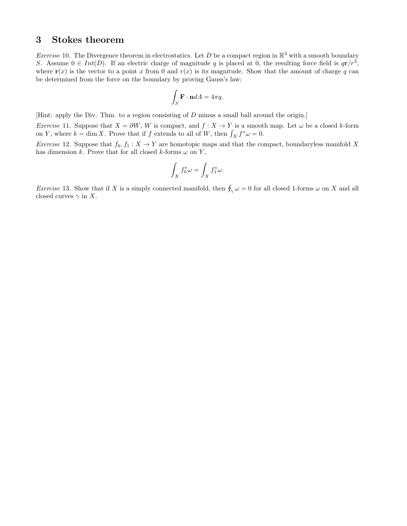# 3 Stokes theorem

*Exercise* 10. The Divergence theorem in electrostatics. Let D be a compact region in  $\mathbb{R}^3$  with a smooth boundary S. Assume  $0 \in Int(D)$ . If an electric charge of magnitude q is placed at 0, the resulting force field is  $q\mathbf{r}/r^3$ , where  $\mathbf{r}(x)$  is the vector to a point x from 0 and  $r(x)$  is its magnitude. Show that the amount of charge q can be determined from the force on the boundary by proving Gauss's law:

$$
\int_{S} \mathbf{F} \cdot \mathbf{n} dA = 4\pi q.
$$

[Hint: apply the Div. Thm. to a region consisting of D minus a small ball around the origin.]

Exercise 11. Suppose that  $X = \partial W$ , W is compact, and  $f : X \to Y$  is a smooth map. Let  $\omega$  be a closed k-form on Y, where  $k = \dim X$ . Prove that if f extends to all of W, then  $\int_X f^* \omega = 0$ .

*Exercise* 12. Suppose that  $f_0, f_1 : X \to Y$  are homotopic maps and that the compact, boundaryless manifold X has dimension k. Prove that for all closed k-forms  $\omega$  on Y,

$$
\int_X f_0^* \omega = \int_X f_1^* \omega.
$$

*Exercise* 13. Show that if X is a simply connected manifold, then  $\oint_{\gamma} \omega = 0$  for all closed 1-forms  $\omega$  on X and all closed curves  $\gamma$  in X.